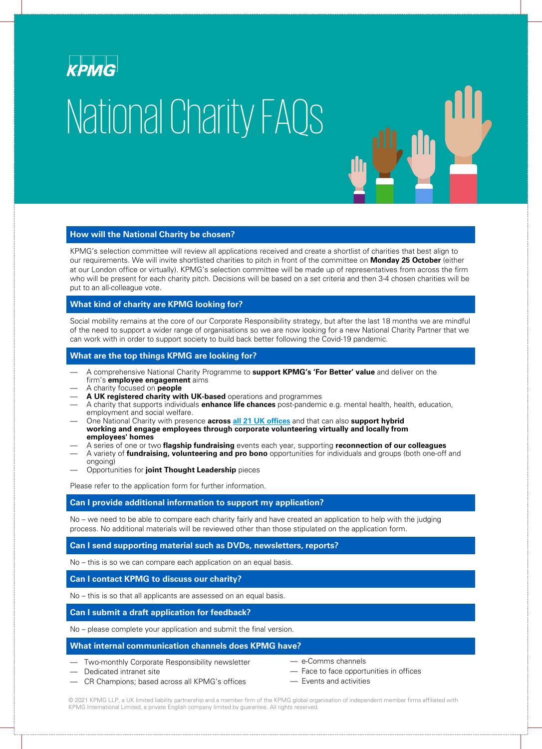

# National Charity FAQs

## **How will the National Charity be chosen?**

KPMG's selection committee will review all applications received and create a shortlist of charities that best align to our requirements. We will invite shortlisted charities to pitch in front of the committee on **Monday 25 October** (either at our London office or virtually). KPMG's selection committee will be made up of representatives from across the firm who will be present for each charity pitch. Decisions will be based on a set criteria and then 3-4 chosen charities will be put to an all-colleague vote.

## **What kind of charity are KPMG looking for?**

Social mobility remains at the core of our Corporate Responsibility strategy, but after the last 18 months we are mindful of the need to support a wider range of organisations so we are now looking for a new National Charity Partner that we can work with in order to support society to build back better following the Covid-19 pandemic.

## **What are the top things KPMG are looking for?**

- A comprehensive National Charity Programme to **support KPMG's 'For Better' value** and deliver on the firm's **employee engagement** aims
- A charity focused on **people**
- **A UK registered charity with UK-based** operations and programmes
- A charity that supports individuals **enhance life chances** post-pandemic e.g. mental health, health, education, employment and social welfare.
- One National Charity with presence **across all 21 UK [offices](https://home.kpmg/uk/en/home/about/offices.html)** and that can also **support hybrid working and engage employees through corporate volunteering virtually and locally from employees' homes**
- A series of one or two **flagship fundraising** events each year, supporting **reconnection of our colleagues**
- A variety of **fundraising, volunteering and pro bono** opportunities for individuals and groups (both one-off and ongoing)
- Opportunities for **joint Thought Leadership** pieces

Please refer to the application form for further information.

# **Can I provide additional information to support my application?**

No – we need to be able to compare each charity fairly and have created an application to help with the judging process. No additional materials will be reviewed other than those stipulated on the application form.

## **Can I send supporting material such as DVDs, newsletters, reports?**

No – this is so we can compare each application on an equal basis.

#### **Can I contact KPMG to discuss our charity?**

No – this is so that all applicants are assessed on an equal basis.

#### **Can I submit a draft application for feedback?**

No – please complete your application and submit the final version.

## **What internal communication channels does KPMG have?**

- Two-monthly Corporate Responsibility newsletter
- Dedicated intranet site
- CR Champions; based across all KPMG's offices
- e-Comms channels
- Face to face opportunities in offices
- Events and activities

© 2021 KPMG LLP, a UK limited liability partnership and a member firm of the KPMG global organisation of independent member firms affiliated with KPMG International Limited, a private English company limited by guarantee. All rights reserved.